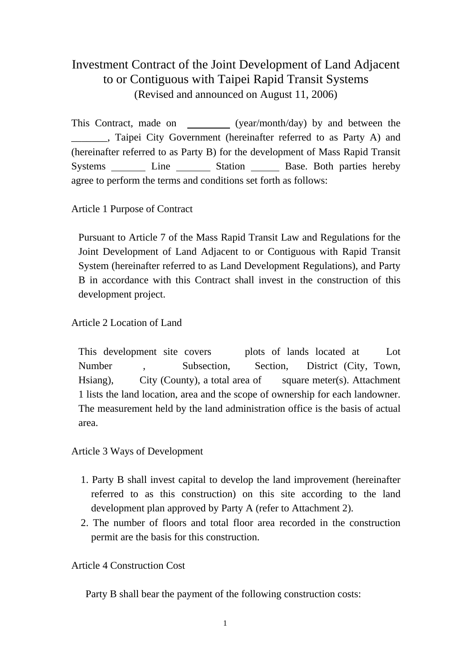# Investment Contract of the Joint Development of Land Adjacent to or Contiguous with Taipei Rapid Transit Systems (Revised and announced on August 11, 2006)

This Contract, made on (year/month/day) by and between the \_\_\_\_\_\_\_, Taipei City Government (hereinafter referred to as Party A) and (hereinafter referred to as Party B) for the development of Mass Rapid Transit Systems Line Station Base. Both parties hereby agree to perform the terms and conditions set forth as follows:

Article 1 Purpose of Contract

Pursuant to Article 7 of the Mass Rapid Transit Law and Regulations for the Joint Development of Land Adjacent to or Contiguous with Rapid Transit System (hereinafter referred to as Land Development Regulations), and Party B in accordance with this Contract shall invest in the construction of this development project.

Article 2 Location of Land

This development site covers plots of lands located at Lot Number , Subsection, Section, District (City, Town, Hsiang), City (County), a total area of square meter(s). Attachment 1 lists the land location, area and the scope of ownership for each landowner. The measurement held by the land administration office is the basis of actual area.

Article 3 Ways of Development

- 1. Party B shall invest capital to develop the land improvement (hereinafter referred to as this construction) on this site according to the land development plan approved by Party A (refer to Attachment 2).
- 2. The number of floors and total floor area recorded in the construction permit are the basis for this construction.

Article 4 Construction Cost

Party B shall bear the payment of the following construction costs: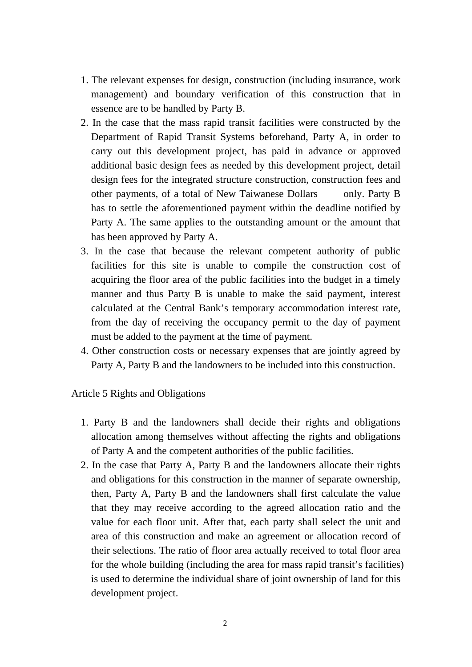- 1. The relevant expenses for design, construction (including insurance, work management) and boundary verification of this construction that in essence are to be handled by Party B.
- 2. In the case that the mass rapid transit facilities were constructed by the Department of Rapid Transit Systems beforehand, Party A, in order to carry out this development project, has paid in advance or approved additional basic design fees as needed by this development project, detail design fees for the integrated structure construction, construction fees and other payments, of a total of New Taiwanese Dollars only. Party B has to settle the aforementioned payment within the deadline notified by Party A. The same applies to the outstanding amount or the amount that has been approved by Party A.
- 3. In the case that because the relevant competent authority of public facilities for this site is unable to compile the construction cost of acquiring the floor area of the public facilities into the budget in a timely manner and thus Party B is unable to make the said payment, interest calculated at the Central Bank's temporary accommodation interest rate, from the day of receiving the occupancy permit to the day of payment must be added to the payment at the time of payment.
- 4. Other construction costs or necessary expenses that are jointly agreed by Party A, Party B and the landowners to be included into this construction.

#### Article 5 Rights and Obligations

- 1. Party B and the landowners shall decide their rights and obligations allocation among themselves without affecting the rights and obligations of Party A and the competent authorities of the public facilities.
- 2. In the case that Party A, Party B and the landowners allocate their rights and obligations for this construction in the manner of separate ownership, then, Party A, Party B and the landowners shall first calculate the value that they may receive according to the agreed allocation ratio and the value for each floor unit. After that, each party shall select the unit and area of this construction and make an agreement or allocation record of their selections. The ratio of floor area actually received to total floor area for the whole building (including the area for mass rapid transit's facilities) is used to determine the individual share of joint ownership of land for this development project.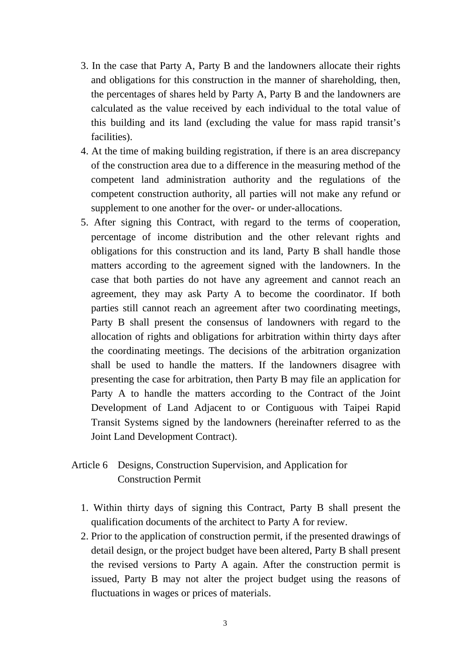- 3. In the case that Party A, Party B and the landowners allocate their rights and obligations for this construction in the manner of shareholding, then, the percentages of shares held by Party A, Party B and the landowners are calculated as the value received by each individual to the total value of this building and its land (excluding the value for mass rapid transit's facilities).
- 4. At the time of making building registration, if there is an area discrepancy of the construction area due to a difference in the measuring method of the competent land administration authority and the regulations of the competent construction authority, all parties will not make any refund or supplement to one another for the over- or under-allocations.
- 5. After signing this Contract, with regard to the terms of cooperation, percentage of income distribution and the other relevant rights and obligations for this construction and its land, Party B shall handle those matters according to the agreement signed with the landowners. In the case that both parties do not have any agreement and cannot reach an agreement, they may ask Party A to become the coordinator. If both parties still cannot reach an agreement after two coordinating meetings, Party B shall present the consensus of landowners with regard to the allocation of rights and obligations for arbitration within thirty days after the coordinating meetings. The decisions of the arbitration organization shall be used to handle the matters. If the landowners disagree with presenting the case for arbitration, then Party B may file an application for Party A to handle the matters according to the Contract of the Joint Development of Land Adjacent to or Contiguous with Taipei Rapid Transit Systems signed by the landowners (hereinafter referred to as the Joint Land Development Contract).

# Article 6 Designs, Construction Supervision, and Application for Construction Permit

- 1. Within thirty days of signing this Contract, Party B shall present the qualification documents of the architect to Party A for review.
- 2. Prior to the application of construction permit, if the presented drawings of detail design, or the project budget have been altered, Party B shall present the revised versions to Party A again. After the construction permit is issued, Party B may not alter the project budget using the reasons of fluctuations in wages or prices of materials.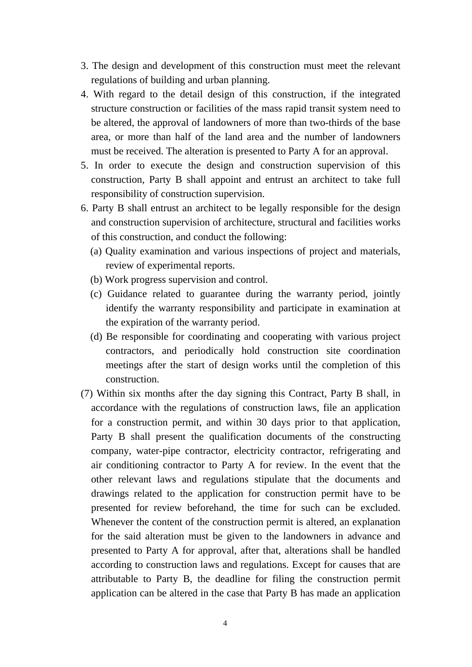- 3. The design and development of this construction must meet the relevant regulations of building and urban planning.
- 4. With regard to the detail design of this construction, if the integrated structure construction or facilities of the mass rapid transit system need to be altered, the approval of landowners of more than two-thirds of the base area, or more than half of the land area and the number of landowners must be received. The alteration is presented to Party A for an approval.
- 5. In order to execute the design and construction supervision of this construction, Party B shall appoint and entrust an architect to take full responsibility of construction supervision.
- 6. Party B shall entrust an architect to be legally responsible for the design and construction supervision of architecture, structural and facilities works of this construction, and conduct the following:
	- (a) Quality examination and various inspections of project and materials, review of experimental reports.
	- (b) Work progress supervision and control.
	- (c) Guidance related to guarantee during the warranty period, jointly identify the warranty responsibility and participate in examination at the expiration of the warranty period.
	- (d) Be responsible for coordinating and cooperating with various project contractors, and periodically hold construction site coordination meetings after the start of design works until the completion of this construction.
- (7) Within six months after the day signing this Contract, Party B shall, in accordance with the regulations of construction laws, file an application for a construction permit, and within 30 days prior to that application, Party B shall present the qualification documents of the constructing company, water-pipe contractor, electricity contractor, refrigerating and air conditioning contractor to Party A for review. In the event that the other relevant laws and regulations stipulate that the documents and drawings related to the application for construction permit have to be presented for review beforehand, the time for such can be excluded. Whenever the content of the construction permit is altered, an explanation for the said alteration must be given to the landowners in advance and presented to Party A for approval, after that, alterations shall be handled according to construction laws and regulations. Except for causes that are attributable to Party B, the deadline for filing the construction permit application can be altered in the case that Party B has made an application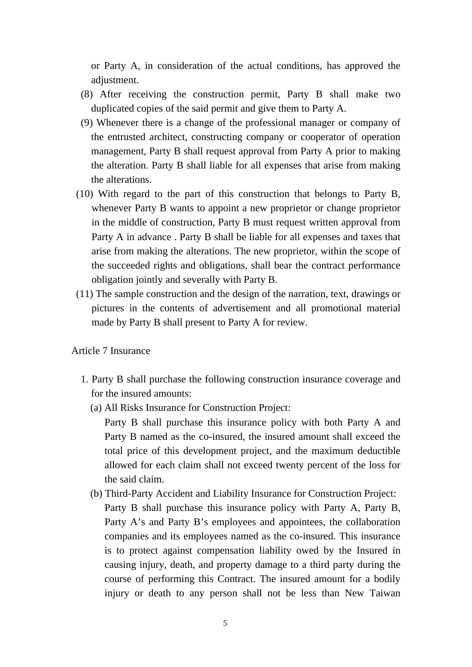or Party A, in consideration of the actual conditions, has approved the adjustment.

- (8) After receiving the construction permit, Party B shall make two duplicated copies of the said permit and give them to Party A.
- (9) Whenever there is a change of the professional manager or company of the entrusted architect, constructing company or cooperator of operation management, Party B shall request approval from Party A prior to making the alteration. Party B shall liable for all expenses that arise from making the alterations.
- (10) With regard to the part of this construction that belongs to Party B, whenever Party B wants to appoint a new proprietor or change proprietor in the middle of construction, Party B must request written approval from Party A in advance . Party B shall be liable for all expenses and taxes that arise from making the alterations. The new proprietor, within the scope of the succeeded rights and obligations, shall bear the contract performance obligation jointly and severally with Party B.
- (11) The sample construction and the design of the narration, text, drawings or pictures in the contents of advertisement and all promotional material made by Party B shall present to Party A for review.

Article 7 Insurance

- 1. Party B shall purchase the following construction insurance coverage and for the insured amounts:
	- (a) All Risks Insurance for Construction Project:

Party B shall purchase this insurance policy with both Party A and Party B named as the co-insured, the insured amount shall exceed the total price of this development project, and the maximum deductible allowed for each claim shall not exceed twenty percent of the loss for the said claim.

(b) Third-Party Accident and Liability Insurance for Construction Project: Party B shall purchase this insurance policy with Party A, Party B, Party A's and Party B's employees and appointees, the collaboration companies and its employees named as the co-insured. This insurance is to protect against compensation liability owed by the Insured in causing injury, death, and property damage to a third party during the course of performing this Contract. The insured amount for a bodily injury or death to any person shall not be less than New Taiwan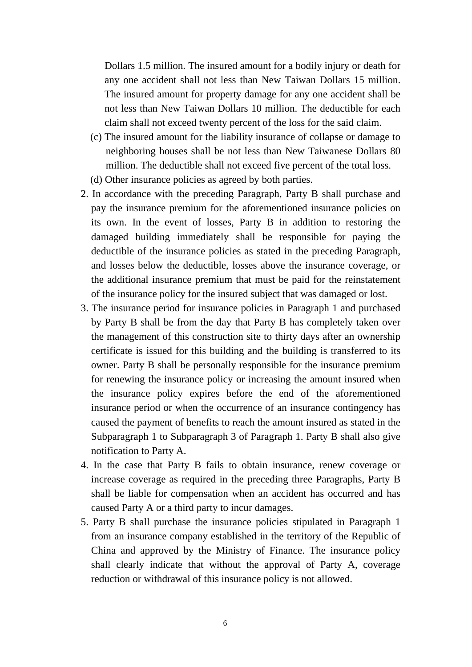Dollars 1.5 million. The insured amount for a bodily injury or death for any one accident shall not less than New Taiwan Dollars 15 million. The insured amount for property damage for any one accident shall be not less than New Taiwan Dollars 10 million. The deductible for each claim shall not exceed twenty percent of the loss for the said claim.

- (c) The insured amount for the liability insurance of collapse or damage to neighboring houses shall be not less than New Taiwanese Dollars 80 million. The deductible shall not exceed five percent of the total loss.
- (d) Other insurance policies as agreed by both parties.
- 2. In accordance with the preceding Paragraph, Party B shall purchase and pay the insurance premium for the aforementioned insurance policies on its own. In the event of losses, Party B in addition to restoring the damaged building immediately shall be responsible for paying the deductible of the insurance policies as stated in the preceding Paragraph, and losses below the deductible, losses above the insurance coverage, or the additional insurance premium that must be paid for the reinstatement of the insurance policy for the insured subject that was damaged or lost.
- 3. The insurance period for insurance policies in Paragraph 1 and purchased by Party B shall be from the day that Party B has completely taken over the management of this construction site to thirty days after an ownership certificate is issued for this building and the building is transferred to its owner. Party B shall be personally responsible for the insurance premium for renewing the insurance policy or increasing the amount insured when the insurance policy expires before the end of the aforementioned insurance period or when the occurrence of an insurance contingency has caused the payment of benefits to reach the amount insured as stated in the Subparagraph 1 to Subparagraph 3 of Paragraph 1. Party B shall also give notification to Party A.
- 4. In the case that Party B fails to obtain insurance, renew coverage or increase coverage as required in the preceding three Paragraphs, Party B shall be liable for compensation when an accident has occurred and has caused Party A or a third party to incur damages.
- 5. Party B shall purchase the insurance policies stipulated in Paragraph 1 from an insurance company established in the territory of the Republic of China and approved by the Ministry of Finance. The insurance policy shall clearly indicate that without the approval of Party A, coverage reduction or withdrawal of this insurance policy is not allowed.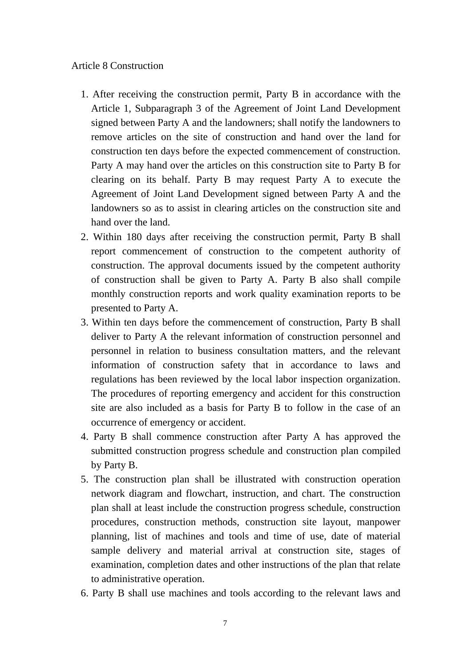#### Article 8 Construction

- 1. After receiving the construction permit, Party B in accordance with the Article 1, Subparagraph 3 of the Agreement of Joint Land Development signed between Party A and the landowners; shall notify the landowners to remove articles on the site of construction and hand over the land for construction ten days before the expected commencement of construction. Party A may hand over the articles on this construction site to Party B for clearing on its behalf. Party B may request Party A to execute the Agreement of Joint Land Development signed between Party A and the landowners so as to assist in clearing articles on the construction site and hand over the land.
- 2. Within 180 days after receiving the construction permit, Party B shall report commencement of construction to the competent authority of construction. The approval documents issued by the competent authority of construction shall be given to Party A. Party B also shall compile monthly construction reports and work quality examination reports to be presented to Party A.
- 3. Within ten days before the commencement of construction, Party B shall deliver to Party A the relevant information of construction personnel and personnel in relation to business consultation matters, and the relevant information of construction safety that in accordance to laws and regulations has been reviewed by the local labor inspection organization. The procedures of reporting emergency and accident for this construction site are also included as a basis for Party B to follow in the case of an occurrence of emergency or accident.
- 4. Party B shall commence construction after Party A has approved the submitted construction progress schedule and construction plan compiled by Party B.
- 5. The construction plan shall be illustrated with construction operation network diagram and flowchart, instruction, and chart. The construction plan shall at least include the construction progress schedule, construction procedures, construction methods, construction site layout, manpower planning, list of machines and tools and time of use, date of material sample delivery and material arrival at construction site, stages of examination, completion dates and other instructions of the plan that relate to administrative operation.
- 6. Party B shall use machines and tools according to the relevant laws and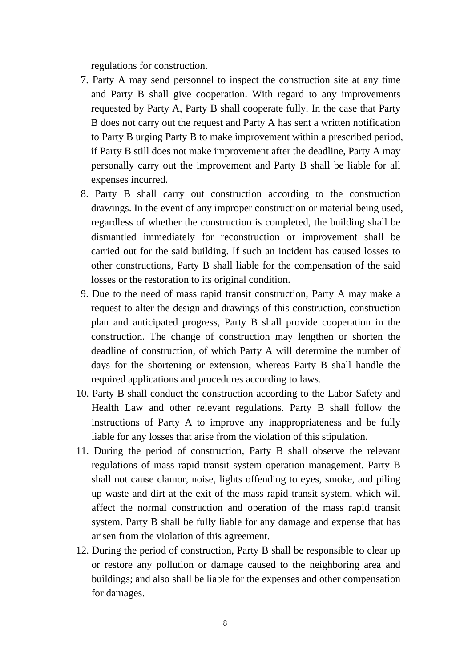regulations for construction.

- 7. Party A may send personnel to inspect the construction site at any time and Party B shall give cooperation. With regard to any improvements requested by Party A, Party B shall cooperate fully. In the case that Party B does not carry out the request and Party A has sent a written notification to Party B urging Party B to make improvement within a prescribed period, if Party B still does not make improvement after the deadline, Party A may personally carry out the improvement and Party B shall be liable for all expenses incurred.
- 8. Party B shall carry out construction according to the construction drawings. In the event of any improper construction or material being used, regardless of whether the construction is completed, the building shall be dismantled immediately for reconstruction or improvement shall be carried out for the said building. If such an incident has caused losses to other constructions, Party B shall liable for the compensation of the said losses or the restoration to its original condition.
- 9. Due to the need of mass rapid transit construction, Party A may make a request to alter the design and drawings of this construction, construction plan and anticipated progress, Party B shall provide cooperation in the construction. The change of construction may lengthen or shorten the deadline of construction, of which Party A will determine the number of days for the shortening or extension, whereas Party B shall handle the required applications and procedures according to laws.
- 10. Party B shall conduct the construction according to the Labor Safety and Health Law and other relevant regulations. Party B shall follow the instructions of Party A to improve any inappropriateness and be fully liable for any losses that arise from the violation of this stipulation.
- 11. During the period of construction, Party B shall observe the relevant regulations of mass rapid transit system operation management. Party B shall not cause clamor, noise, lights offending to eyes, smoke, and piling up waste and dirt at the exit of the mass rapid transit system, which will affect the normal construction and operation of the mass rapid transit system. Party B shall be fully liable for any damage and expense that has arisen from the violation of this agreement.
- 12. During the period of construction, Party B shall be responsible to clear up or restore any pollution or damage caused to the neighboring area and buildings; and also shall be liable for the expenses and other compensation for damages.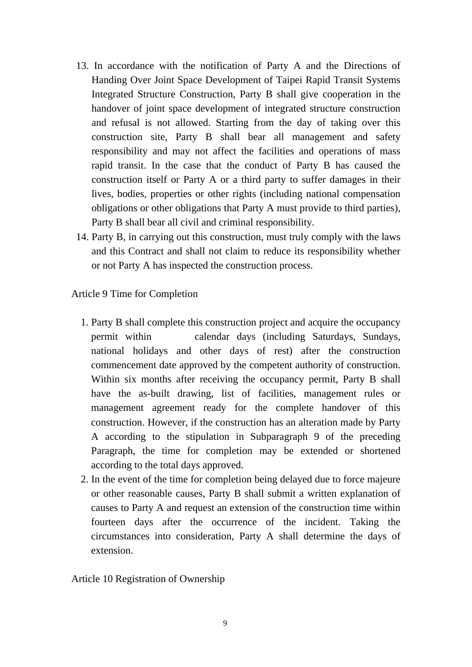- 13. In accordance with the notification of Party A and the Directions of Handing Over Joint Space Development of Taipei Rapid Transit Systems Integrated Structure Construction, Party B shall give cooperation in the handover of joint space development of integrated structure construction and refusal is not allowed. Starting from the day of taking over this construction site, Party B shall bear all management and safety responsibility and may not affect the facilities and operations of mass rapid transit. In the case that the conduct of Party B has caused the construction itself or Party A or a third party to suffer damages in their lives, bodies, properties or other rights (including national compensation obligations or other obligations that Party A must provide to third parties), Party B shall bear all civil and criminal responsibility.
- 14. Party B, in carrying out this construction, must truly comply with the laws and this Contract and shall not claim to reduce its responsibility whether or not Party A has inspected the construction process.

Article 9 Time for Completion

- 1. Party B shall complete this construction project and acquire the occupancy permit within calendar days (including Saturdays, Sundays, national holidays and other days of rest) after the construction commencement date approved by the competent authority of construction. Within six months after receiving the occupancy permit, Party B shall have the as-built drawing, list of facilities, management rules or management agreement ready for the complete handover of this construction. However, if the construction has an alteration made by Party A according to the stipulation in Subparagraph 9 of the preceding Paragraph, the time for completion may be extended or shortened according to the total days approved.
- 2. In the event of the time for completion being delayed due to force majeure or other reasonable causes, Party B shall submit a written explanation of causes to Party A and request an extension of the construction time within fourteen days after the occurrence of the incident. Taking the circumstances into consideration, Party A shall determine the days of extension.

Article 10 Registration of Ownership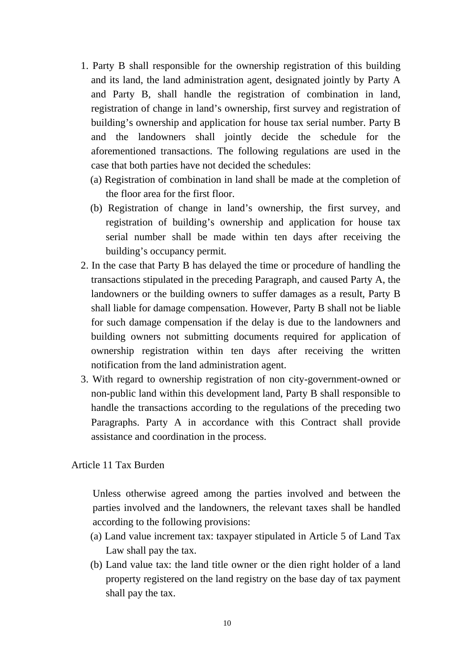- 1. Party B shall responsible for the ownership registration of this building and its land, the land administration agent, designated jointly by Party A and Party B, shall handle the registration of combination in land, registration of change in land's ownership, first survey and registration of building's ownership and application for house tax serial number. Party B and the landowners shall jointly decide the schedule for the aforementioned transactions. The following regulations are used in the case that both parties have not decided the schedules:
	- (a) Registration of combination in land shall be made at the completion of the floor area for the first floor.
	- (b) Registration of change in land's ownership, the first survey, and registration of building's ownership and application for house tax serial number shall be made within ten days after receiving the building's occupancy permit.
- 2. In the case that Party B has delayed the time or procedure of handling the transactions stipulated in the preceding Paragraph, and caused Party A, the landowners or the building owners to suffer damages as a result, Party B shall liable for damage compensation. However, Party B shall not be liable for such damage compensation if the delay is due to the landowners and building owners not submitting documents required for application of ownership registration within ten days after receiving the written notification from the land administration agent.
- 3. With regard to ownership registration of non city-government-owned or non-public land within this development land, Party B shall responsible to handle the transactions according to the regulations of the preceding two Paragraphs. Party A in accordance with this Contract shall provide assistance and coordination in the process.

Article 11 Tax Burden

Unless otherwise agreed among the parties involved and between the parties involved and the landowners, the relevant taxes shall be handled according to the following provisions:

- (a) Land value increment tax: taxpayer stipulated in Article 5 of Land Tax Law shall pay the tax.
- (b) Land value tax: the land title owner or the dien right holder of a land property registered on the land registry on the base day of tax payment shall pay the tax.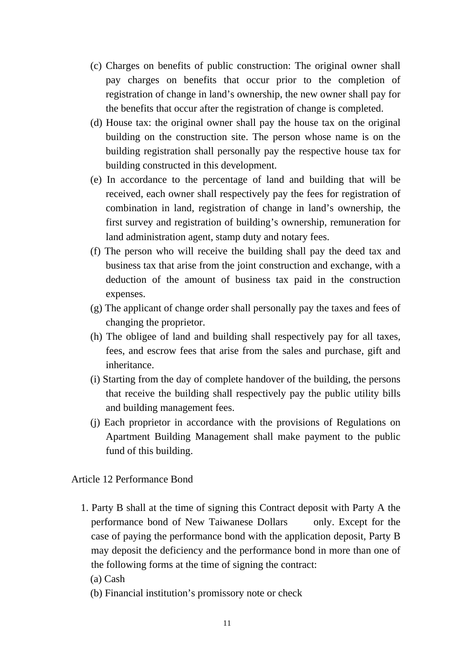- (c) Charges on benefits of public construction: The original owner shall pay charges on benefits that occur prior to the completion of registration of change in land's ownership, the new owner shall pay for the benefits that occur after the registration of change is completed.
- (d) House tax: the original owner shall pay the house tax on the original building on the construction site. The person whose name is on the building registration shall personally pay the respective house tax for building constructed in this development.
- (e) In accordance to the percentage of land and building that will be received, each owner shall respectively pay the fees for registration of combination in land, registration of change in land's ownership, the first survey and registration of building's ownership, remuneration for land administration agent, stamp duty and notary fees.
- (f) The person who will receive the building shall pay the deed tax and business tax that arise from the joint construction and exchange, with a deduction of the amount of business tax paid in the construction expenses.
- (g) The applicant of change order shall personally pay the taxes and fees of changing the proprietor.
- (h) The obligee of land and building shall respectively pay for all taxes, fees, and escrow fees that arise from the sales and purchase, gift and inheritance.
- (i) Starting from the day of complete handover of the building, the persons that receive the building shall respectively pay the public utility bills and building management fees.
- (j) Each proprietor in accordance with the provisions of Regulations on Apartment Building Management shall make payment to the public fund of this building.

Article 12 Performance Bond

- 1. Party B shall at the time of signing this Contract deposit with Party A the performance bond of New Taiwanese Dollars only. Except for the case of paying the performance bond with the application deposit, Party B may deposit the deficiency and the performance bond in more than one of the following forms at the time of signing the contract:
	- (a) Cash
	- (b) Financial institution's promissory note or check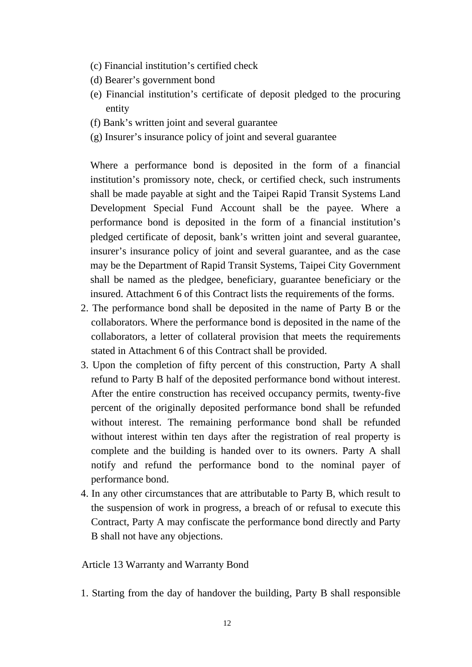- (c) Financial institution's certified check
- (d) Bearer's government bond
- (e) Financial institution's certificate of deposit pledged to the procuring entity
- (f) Bank's written joint and several guarantee
- (g) Insurer's insurance policy of joint and several guarantee

Where a performance bond is deposited in the form of a financial institution's promissory note, check, or certified check, such instruments shall be made payable at sight and the Taipei Rapid Transit Systems Land Development Special Fund Account shall be the payee. Where a performance bond is deposited in the form of a financial institution's pledged certificate of deposit, bank's written joint and several guarantee, insurer's insurance policy of joint and several guarantee, and as the case may be the Department of Rapid Transit Systems, Taipei City Government shall be named as the pledgee, beneficiary, guarantee beneficiary or the insured. Attachment 6 of this Contract lists the requirements of the forms.

- 2. The performance bond shall be deposited in the name of Party B or the collaborators. Where the performance bond is deposited in the name of the collaborators, a letter of collateral provision that meets the requirements stated in Attachment 6 of this Contract shall be provided.
- 3. Upon the completion of fifty percent of this construction, Party A shall refund to Party B half of the deposited performance bond without interest. After the entire construction has received occupancy permits, twenty-five percent of the originally deposited performance bond shall be refunded without interest. The remaining performance bond shall be refunded without interest within ten days after the registration of real property is complete and the building is handed over to its owners. Party A shall notify and refund the performance bond to the nominal payer of performance bond.
- 4. In any other circumstances that are attributable to Party B, which result to the suspension of work in progress, a breach of or refusal to execute this Contract, Party A may confiscate the performance bond directly and Party B shall not have any objections.

Article 13 Warranty and Warranty Bond

1. Starting from the day of handover the building, Party B shall responsible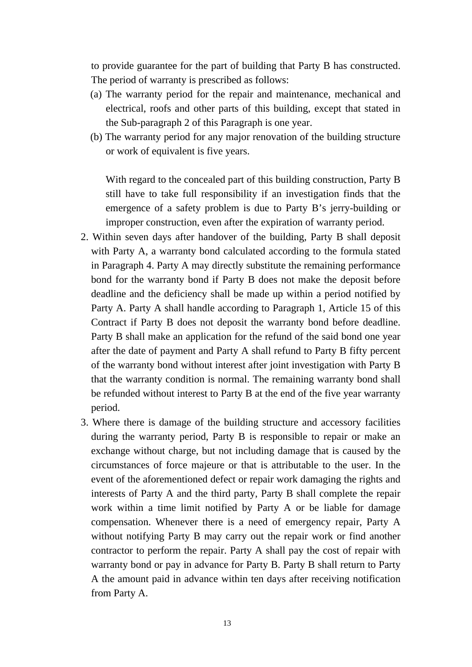to provide guarantee for the part of building that Party B has constructed. The period of warranty is prescribed as follows:

- (a) The warranty period for the repair and maintenance, mechanical and electrical, roofs and other parts of this building, except that stated in the Sub-paragraph 2 of this Paragraph is one year.
- (b) The warranty period for any major renovation of the building structure or work of equivalent is five years.

With regard to the concealed part of this building construction, Party B still have to take full responsibility if an investigation finds that the emergence of a safety problem is due to Party B's jerry-building or improper construction, even after the expiration of warranty period.

- 2. Within seven days after handover of the building, Party B shall deposit with Party A, a warranty bond calculated according to the formula stated in Paragraph 4. Party A may directly substitute the remaining performance bond for the warranty bond if Party B does not make the deposit before deadline and the deficiency shall be made up within a period notified by Party A. Party A shall handle according to Paragraph 1, Article 15 of this Contract if Party B does not deposit the warranty bond before deadline. Party B shall make an application for the refund of the said bond one year after the date of payment and Party A shall refund to Party B fifty percent of the warranty bond without interest after joint investigation with Party B that the warranty condition is normal. The remaining warranty bond shall be refunded without interest to Party B at the end of the five year warranty period.
- 3. Where there is damage of the building structure and accessory facilities during the warranty period, Party B is responsible to repair or make an exchange without charge, but not including damage that is caused by the circumstances of force majeure or that is attributable to the user. In the event of the aforementioned defect or repair work damaging the rights and interests of Party A and the third party, Party B shall complete the repair work within a time limit notified by Party A or be liable for damage compensation. Whenever there is a need of emergency repair, Party A without notifying Party B may carry out the repair work or find another contractor to perform the repair. Party A shall pay the cost of repair with warranty bond or pay in advance for Party B. Party B shall return to Party A the amount paid in advance within ten days after receiving notification from Party A.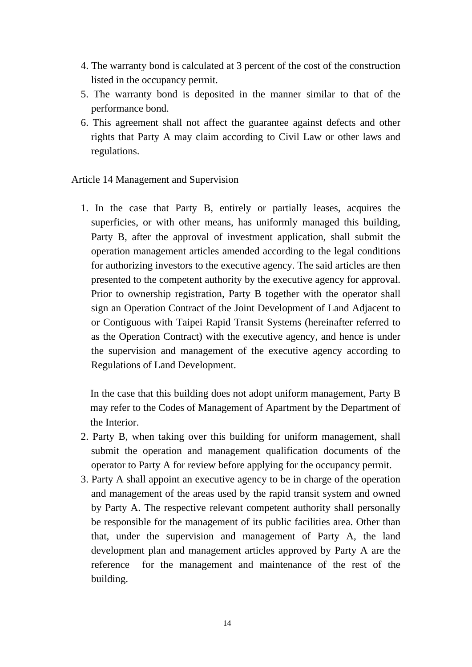- 4. The warranty bond is calculated at 3 percent of the cost of the construction listed in the occupancy permit.
- 5. The warranty bond is deposited in the manner similar to that of the performance bond.
- 6. This agreement shall not affect the guarantee against defects and other rights that Party A may claim according to Civil Law or other laws and regulations.

## Article 14 Management and Supervision

1. In the case that Party B, entirely or partially leases, acquires the superficies, or with other means, has uniformly managed this building, Party B, after the approval of investment application, shall submit the operation management articles amended according to the legal conditions for authorizing investors to the executive agency. The said articles are then presented to the competent authority by the executive agency for approval. Prior to ownership registration, Party B together with the operator shall sign an Operation Contract of the Joint Development of Land Adjacent to or Contiguous with Taipei Rapid Transit Systems (hereinafter referred to as the Operation Contract) with the executive agency, and hence is under the supervision and management of the executive agency according to Regulations of Land Development.

In the case that this building does not adopt uniform management, Party B may refer to the Codes of Management of Apartment by the Department of the Interior.

- 2. Party B, when taking over this building for uniform management, shall submit the operation and management qualification documents of the operator to Party A for review before applying for the occupancy permit.
- 3. Party A shall appoint an executive agency to be in charge of the operation and management of the areas used by the rapid transit system and owned by Party A. The respective relevant competent authority shall personally be responsible for the management of its public facilities area. Other than that, under the supervision and management of Party A, the land development plan and management articles approved by Party A are the reference for the management and maintenance of the rest of the building.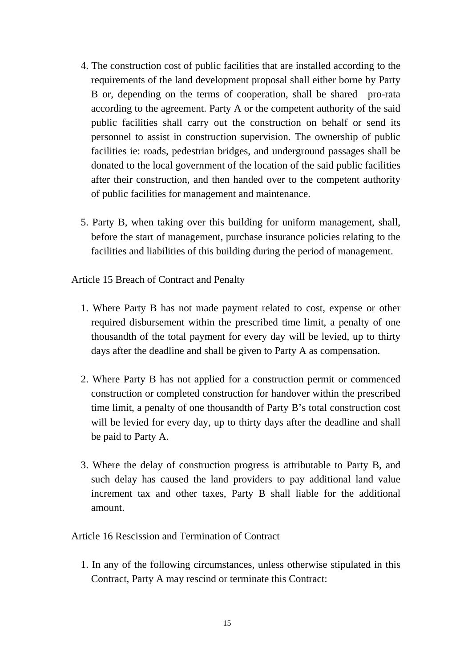- 4. The construction cost of public facilities that are installed according to the requirements of the land development proposal shall either borne by Party B or, depending on the terms of cooperation, shall be shared pro-rata according to the agreement. Party A or the competent authority of the said public facilities shall carry out the construction on behalf or send its personnel to assist in construction supervision. The ownership of public facilities ie: roads, pedestrian bridges, and underground passages shall be donated to the local government of the location of the said public facilities after their construction, and then handed over to the competent authority of public facilities for management and maintenance.
- 5. Party B, when taking over this building for uniform management, shall, before the start of management, purchase insurance policies relating to the facilities and liabilities of this building during the period of management.

Article 15 Breach of Contract and Penalty

- 1. Where Party B has not made payment related to cost, expense or other required disbursement within the prescribed time limit, a penalty of one thousandth of the total payment for every day will be levied, up to thirty days after the deadline and shall be given to Party A as compensation.
- 2. Where Party B has not applied for a construction permit or commenced construction or completed construction for handover within the prescribed time limit, a penalty of one thousandth of Party B's total construction cost will be levied for every day, up to thirty days after the deadline and shall be paid to Party A.
- 3. Where the delay of construction progress is attributable to Party B, and such delay has caused the land providers to pay additional land value increment tax and other taxes, Party B shall liable for the additional amount.

Article 16 Rescission and Termination of Contract

1. In any of the following circumstances, unless otherwise stipulated in this Contract, Party A may rescind or terminate this Contract: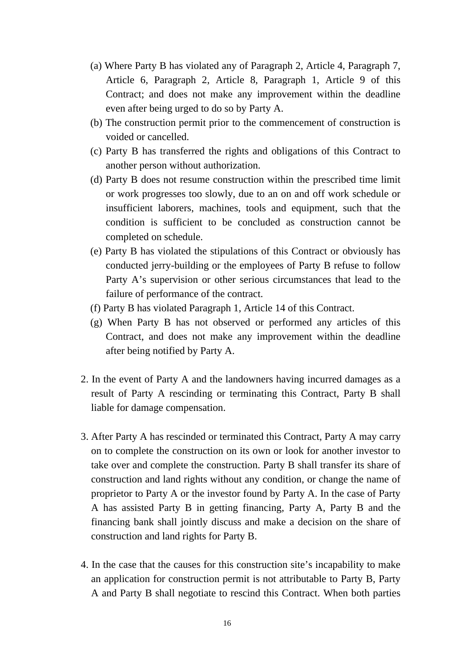- (a) Where Party B has violated any of Paragraph 2, Article 4, Paragraph 7, Article 6, Paragraph 2, Article 8, Paragraph 1, Article 9 of this Contract; and does not make any improvement within the deadline even after being urged to do so by Party A.
- (b) The construction permit prior to the commencement of construction is voided or cancelled.
- (c) Party B has transferred the rights and obligations of this Contract to another person without authorization.
- (d) Party B does not resume construction within the prescribed time limit or work progresses too slowly, due to an on and off work schedule or insufficient laborers, machines, tools and equipment, such that the condition is sufficient to be concluded as construction cannot be completed on schedule.
- (e) Party B has violated the stipulations of this Contract or obviously has conducted jerry-building or the employees of Party B refuse to follow Party A's supervision or other serious circumstances that lead to the failure of performance of the contract.
- (f) Party B has violated Paragraph 1, Article 14 of this Contract.
- (g) When Party B has not observed or performed any articles of this Contract, and does not make any improvement within the deadline after being notified by Party A.
- 2. In the event of Party A and the landowners having incurred damages as a result of Party A rescinding or terminating this Contract, Party B shall liable for damage compensation.
- 3. After Party A has rescinded or terminated this Contract, Party A may carry on to complete the construction on its own or look for another investor to take over and complete the construction. Party B shall transfer its share of construction and land rights without any condition, or change the name of proprietor to Party A or the investor found by Party A. In the case of Party A has assisted Party B in getting financing, Party A, Party B and the financing bank shall jointly discuss and make a decision on the share of construction and land rights for Party B.
- 4. In the case that the causes for this construction site's incapability to make an application for construction permit is not attributable to Party B, Party A and Party B shall negotiate to rescind this Contract. When both parties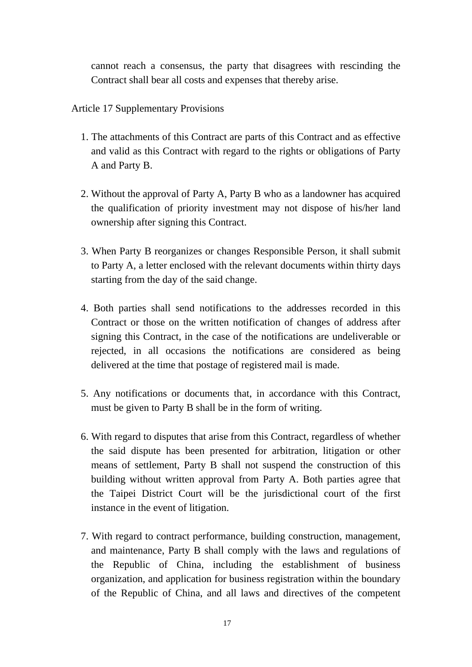cannot reach a consensus, the party that disagrees with rescinding the Contract shall bear all costs and expenses that thereby arise.

Article 17 Supplementary Provisions

- 1. The attachments of this Contract are parts of this Contract and as effective and valid as this Contract with regard to the rights or obligations of Party A and Party B.
- 2. Without the approval of Party A, Party B who as a landowner has acquired the qualification of priority investment may not dispose of his/her land ownership after signing this Contract.
- 3. When Party B reorganizes or changes Responsible Person, it shall submit to Party A, a letter enclosed with the relevant documents within thirty days starting from the day of the said change.
- 4. Both parties shall send notifications to the addresses recorded in this Contract or those on the written notification of changes of address after signing this Contract, in the case of the notifications are undeliverable or rejected, in all occasions the notifications are considered as being delivered at the time that postage of registered mail is made.
- 5. Any notifications or documents that, in accordance with this Contract, must be given to Party B shall be in the form of writing.
- 6. With regard to disputes that arise from this Contract, regardless of whether the said dispute has been presented for arbitration, litigation or other means of settlement, Party B shall not suspend the construction of this building without written approval from Party A. Both parties agree that the Taipei District Court will be the jurisdictional court of the first instance in the event of litigation.
- 7. With regard to contract performance, building construction, management, and maintenance, Party B shall comply with the laws and regulations of the Republic of China, including the establishment of business organization, and application for business registration within the boundary of the Republic of China, and all laws and directives of the competent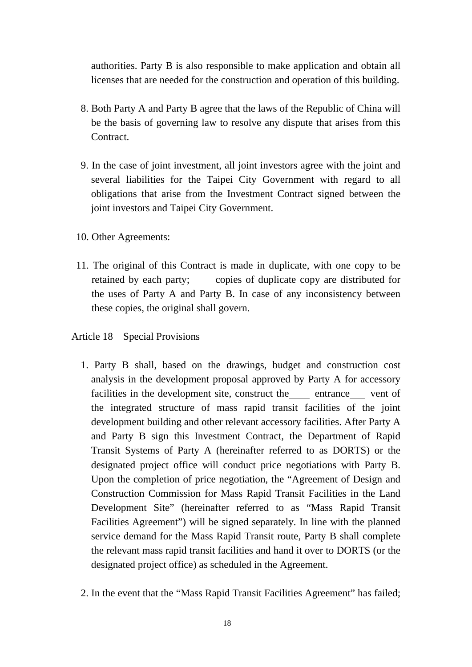authorities. Party B is also responsible to make application and obtain all licenses that are needed for the construction and operation of this building.

- 8. Both Party A and Party B agree that the laws of the Republic of China will be the basis of governing law to resolve any dispute that arises from this Contract.
- 9. In the case of joint investment, all joint investors agree with the joint and several liabilities for the Taipei City Government with regard to all obligations that arise from the Investment Contract signed between the joint investors and Taipei City Government.
- 10. Other Agreements:
- 11. The original of this Contract is made in duplicate, with one copy to be retained by each party; copies of duplicate copy are distributed for the uses of Party A and Party B. In case of any inconsistency between these copies, the original shall govern.

## Article 18 Special Provisions

- 1. Party B shall, based on the drawings, budget and construction cost analysis in the development proposal approved by Party A for accessory facilities in the development site, construct the entrance vent of the integrated structure of mass rapid transit facilities of the joint development building and other relevant accessory facilities. After Party A and Party B sign this Investment Contract, the Department of Rapid Transit Systems of Party A (hereinafter referred to as DORTS) or the designated project office will conduct price negotiations with Party B. Upon the completion of price negotiation, the "Agreement of Design and Construction Commission for Mass Rapid Transit Facilities in the Land Development Site" (hereinafter referred to as "Mass Rapid Transit Facilities Agreement") will be signed separately. In line with the planned service demand for the Mass Rapid Transit route, Party B shall complete the relevant mass rapid transit facilities and hand it over to DORTS (or the designated project office) as scheduled in the Agreement.
- 2. In the event that the "Mass Rapid Transit Facilities Agreement" has failed;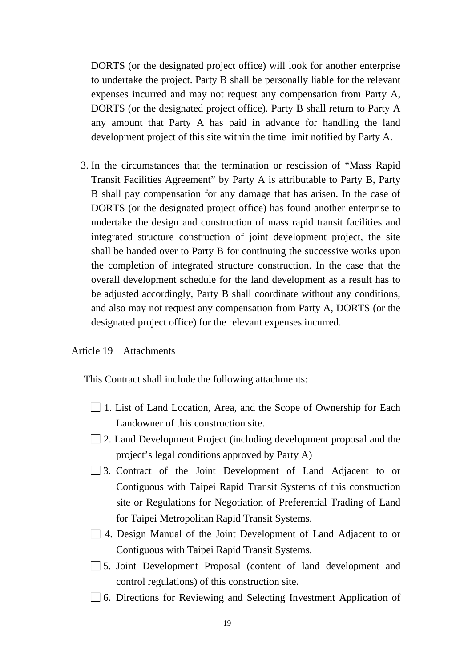DORTS (or the designated project office) will look for another enterprise to undertake the project. Party B shall be personally liable for the relevant expenses incurred and may not request any compensation from Party A, DORTS (or the designated project office). Party B shall return to Party A any amount that Party A has paid in advance for handling the land development project of this site within the time limit notified by Party A.

3. In the circumstances that the termination or rescission of "Mass Rapid Transit Facilities Agreement" by Party A is attributable to Party B, Party B shall pay compensation for any damage that has arisen. In the case of DORTS (or the designated project office) has found another enterprise to undertake the design and construction of mass rapid transit facilities and integrated structure construction of joint development project, the site shall be handed over to Party B for continuing the successive works upon the completion of integrated structure construction. In the case that the overall development schedule for the land development as a result has to be adjusted accordingly, Party B shall coordinate without any conditions, and also may not request any compensation from Party A, DORTS (or the designated project office) for the relevant expenses incurred.

#### Article 19 Attachments

This Contract shall include the following attachments:

- □ 1. List of Land Location, Area, and the Scope of Ownership for Each Landowner of this construction site.
- $\Box$  2. Land Development Project (including development proposal and the project's legal conditions approved by Party A)
- □ 3. Contract of the Joint Development of Land Adjacent to or Contiguous with Taipei Rapid Transit Systems of this construction site or Regulations for Negotiation of Preferential Trading of Land for Taipei Metropolitan Rapid Transit Systems.
- □ 4. Design Manual of the Joint Development of Land Adjacent to or Contiguous with Taipei Rapid Transit Systems.
- □ 5. Joint Development Proposal (content of land development and control regulations) of this construction site.
- □ 6. Directions for Reviewing and Selecting Investment Application of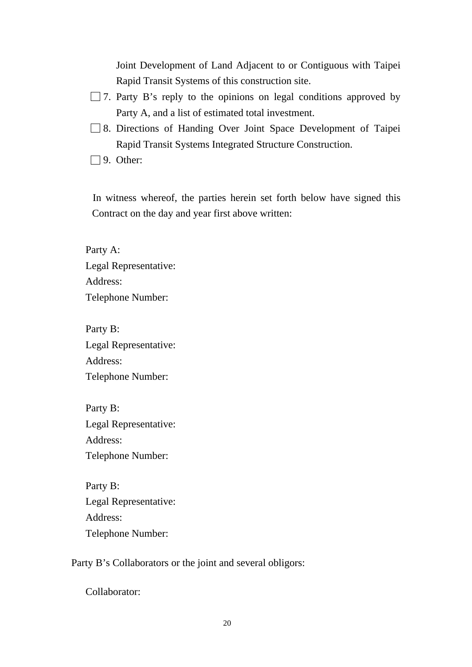Joint Development of Land Adjacent to or Contiguous with Taipei Rapid Transit Systems of this construction site.

- $\Box$  7. Party B's reply to the opinions on legal conditions approved by Party A, and a list of estimated total investment.
- □ 8. Directions of Handing Over Joint Space Development of Taipei Rapid Transit Systems Integrated Structure Construction.
- $\Box$  9. Other:

In witness whereof, the parties herein set forth below have signed this Contract on the day and year first above written:

Party A: Legal Representative: Address: Telephone Number:

Party B: Legal Representative: Address: Telephone Number:

Party B: Legal Representative: Address: Telephone Number:

Party B: Legal Representative: Address: Telephone Number:

Party B's Collaborators or the joint and several obligors:

Collaborator: